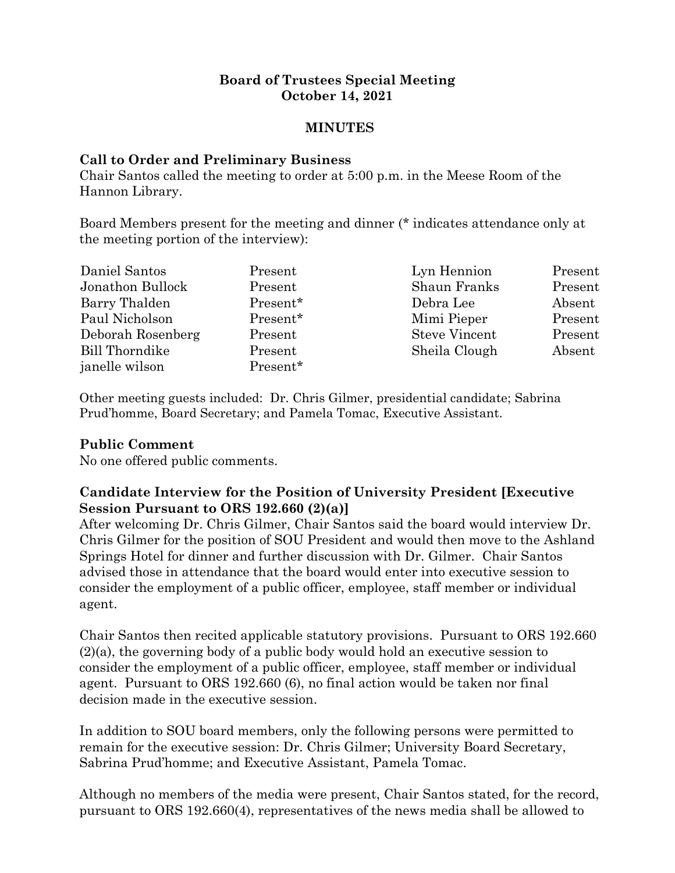#### **Board of Trustees Special Meeting October 14, 2021**

#### **MINUTES**

#### **Call to Order and Preliminary Business**

Chair Santos called the meeting to order at 5:00 p.m. in the Meese Room of the Hannon Library.

Board Members present for the meeting and dinner (\* indicates attendance only at the meeting portion of the interview):

| Daniel Santos     | Present  | Lyn Hennion          | Present |
|-------------------|----------|----------------------|---------|
| Jonathon Bullock  | Present  | <b>Shaun Franks</b>  | Present |
| Barry Thalden     | Present* | Debra Lee            | Absent  |
| Paul Nicholson    | Present* | Mimi Pieper          | Present |
| Deborah Rosenberg | Present  | <b>Steve Vincent</b> | Present |
| Bill Thorndike    | Present  | Sheila Clough        | Absent  |
| janelle wilson    | Present* |                      |         |

Other meeting guests included: Dr. Chris Gilmer, presidential candidate; Sabrina Prud'homme, Board Secretary; and Pamela Tomac, Executive Assistant.

## **Public Comment**

No one offered public comments.

## **Candidate Interview for the Position of University President [Executive Session Pursuant to ORS 192.660 (2)(a)]**

After welcoming Dr. Chris Gilmer, Chair Santos said the board would interview Dr. Chris Gilmer for the position of SOU President and would then move to the Ashland Springs Hotel for dinner and further discussion with Dr. Gilmer. Chair Santos advised those in attendance that the board would enter into executive session to consider the employment of a public officer, employee, staff member or individual agent.

Chair Santos then recited applicable statutory provisions. Pursuant to ORS 192.660 (2)(a), the governing body of a public body would hold an executive session to consider the employment of a public officer, employee, staff member or individual agent. Pursuant to ORS 192.660 (6), no final action would be taken nor final decision made in the executive session.

In addition to SOU board members, only the following persons were permitted to remain for the executive session: Dr. Chris Gilmer; University Board Secretary, Sabrina Prud'homme; and Executive Assistant, Pamela Tomac.

Although no members of the media were present, Chair Santos stated, for the record, pursuant to ORS 192.660(4), representatives of the news media shall be allowed to